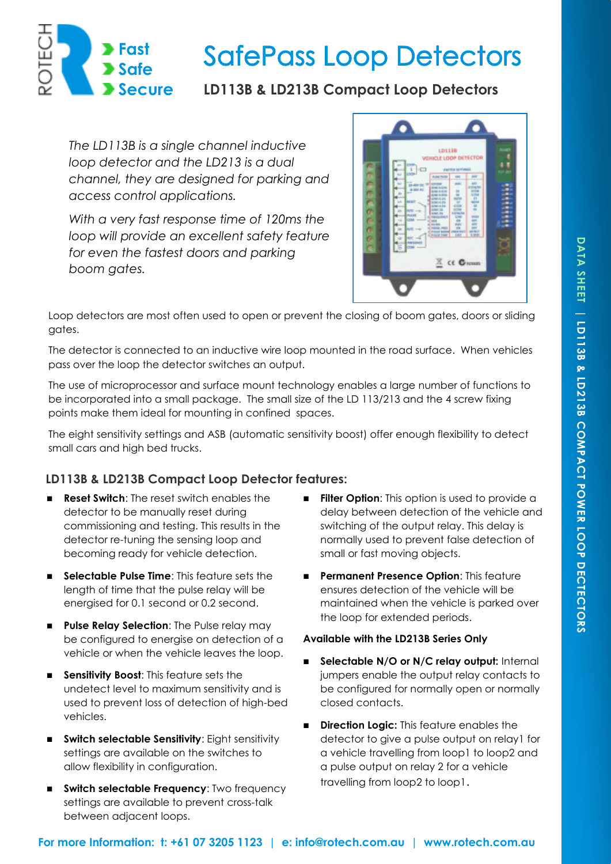

# **SafePass Loop Detectors**

## **LD113B & LD213B Compact Loop Detectors**

*The LD113B is a single channel inductive loop detector and the LD213 is a dual channel, they are designed for parking and access control applications.* 

*With a very fast response time of 120ms the loop will provide an excellent safety feature for even the fastest doors and parking boom gates.* 



Loop detectors are most often used to open or prevent the closing of boom gates, doors or sliding gates.

The detector is connected to an inductive wire loop mounted in the road surface. When vehicles pass over the loop the detector switches an output.

The use of microprocessor and surface mount technology enables a large number of functions to be incorporated into a small package. The small size of the LD 113/213 and the 4 screw fixing points make them ideal for mounting in confined spaces.

The eight sensitivity settings and ASB (automatic sensitivity boost) offer enough flexibility to detect small cars and high bed trucks.

## **LD113B & LD213B Compact Loop Detector features:**

- **Reset Switch**: The reset switch enables the detector to be manually reset during commissioning and testing. This results in the detector re-tuning the sensing loop and becoming ready for vehicle detection.
- **Selectable Pulse Time**: This feature sets the length of time that the pulse relay will be energised for 0.1 second or 0.2 second.
- **Pulse Relay Selection:** The Pulse relay may be configured to energise on detection of a vehicle or when the vehicle leaves the loop.
- **Sensitivity Boost:** This feature sets the undetect level to maximum sensitivity and is used to prevent loss of detection of high-bed vehicles.
- **Switch selectable Sensitivity:** Eight sensitivity settings are available on the switches to allow flexibility in configuration.
- **Switch selectable Frequency: Two frequency** settings are available to prevent cross-talk between adjacent loops.
- **Filter Option:** This option is used to provide a delay between detection of the vehicle and switching of the output relay. This delay is normally used to prevent false detection of small or fast moving objects.
- **Permanent Presence Option: This feature** ensures detection of the vehicle will be maintained when the vehicle is parked over the loop for extended periods.

### **Available with the LD213B Series Only**

- **Selectable N/O or N/C relay output:** Internal jumpers enable the output relay contacts to be configured for normally open or normally closed contacts.
- **Direction Logic:** This feature enables the detector to give a pulse output on relay1 for a vehicle travelling from loop1 to loop2 and a pulse output on relay 2 for a vehicle travelling from loop2 to loop1.